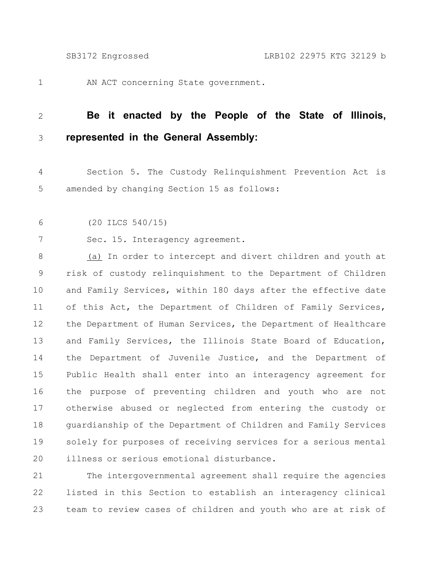1

AN ACT concerning State government.

## **Be it enacted by the People of the State of Illinois, represented in the General Assembly:** 2 3

Section 5. The Custody Relinquishment Prevention Act is amended by changing Section 15 as follows: 4 5

(20 ILCS 540/15) 6

7

Sec. 15. Interagency agreement.

(a) In order to intercept and divert children and youth at risk of custody relinquishment to the Department of Children and Family Services, within 180 days after the effective date of this Act, the Department of Children of Family Services, the Department of Human Services, the Department of Healthcare and Family Services, the Illinois State Board of Education, the Department of Juvenile Justice, and the Department of Public Health shall enter into an interagency agreement for the purpose of preventing children and youth who are not otherwise abused or neglected from entering the custody or guardianship of the Department of Children and Family Services solely for purposes of receiving services for a serious mental illness or serious emotional disturbance. 8 9 10 11 12 13 14 15 16 17 18 19 20

The intergovernmental agreement shall require the agencies listed in this Section to establish an interagency clinical team to review cases of children and youth who are at risk of 21 22 23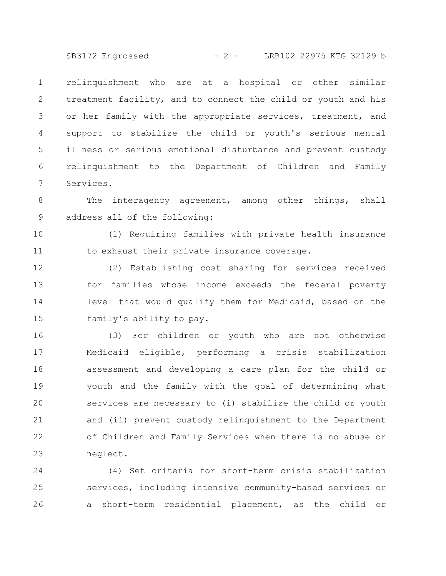SB3172 Engrossed - 2 - LRB102 22975 KTG 32129 b

relinquishment who are at a hospital or other similar treatment facility, and to connect the child or youth and his or her family with the appropriate services, treatment, and support to stabilize the child or youth's serious mental illness or serious emotional disturbance and prevent custody relinquishment to the Department of Children and Family Services. 1 2 3 4 5 6 7

The interagency agreement, among other things, shall address all of the following: 8 9

(1) Requiring families with private health insurance to exhaust their private insurance coverage. 10 11

(2) Establishing cost sharing for services received for families whose income exceeds the federal poverty level that would qualify them for Medicaid, based on the family's ability to pay. 12 13 14 15

(3) For children or youth who are not otherwise Medicaid eligible, performing a crisis stabilization assessment and developing a care plan for the child or youth and the family with the goal of determining what services are necessary to (i) stabilize the child or youth and (ii) prevent custody relinquishment to the Department of Children and Family Services when there is no abuse or neglect. 16 17 18 19 20 21 22 23

(4) Set criteria for short-term crisis stabilization services, including intensive community-based services or a short-term residential placement, as the child or 24 25 26